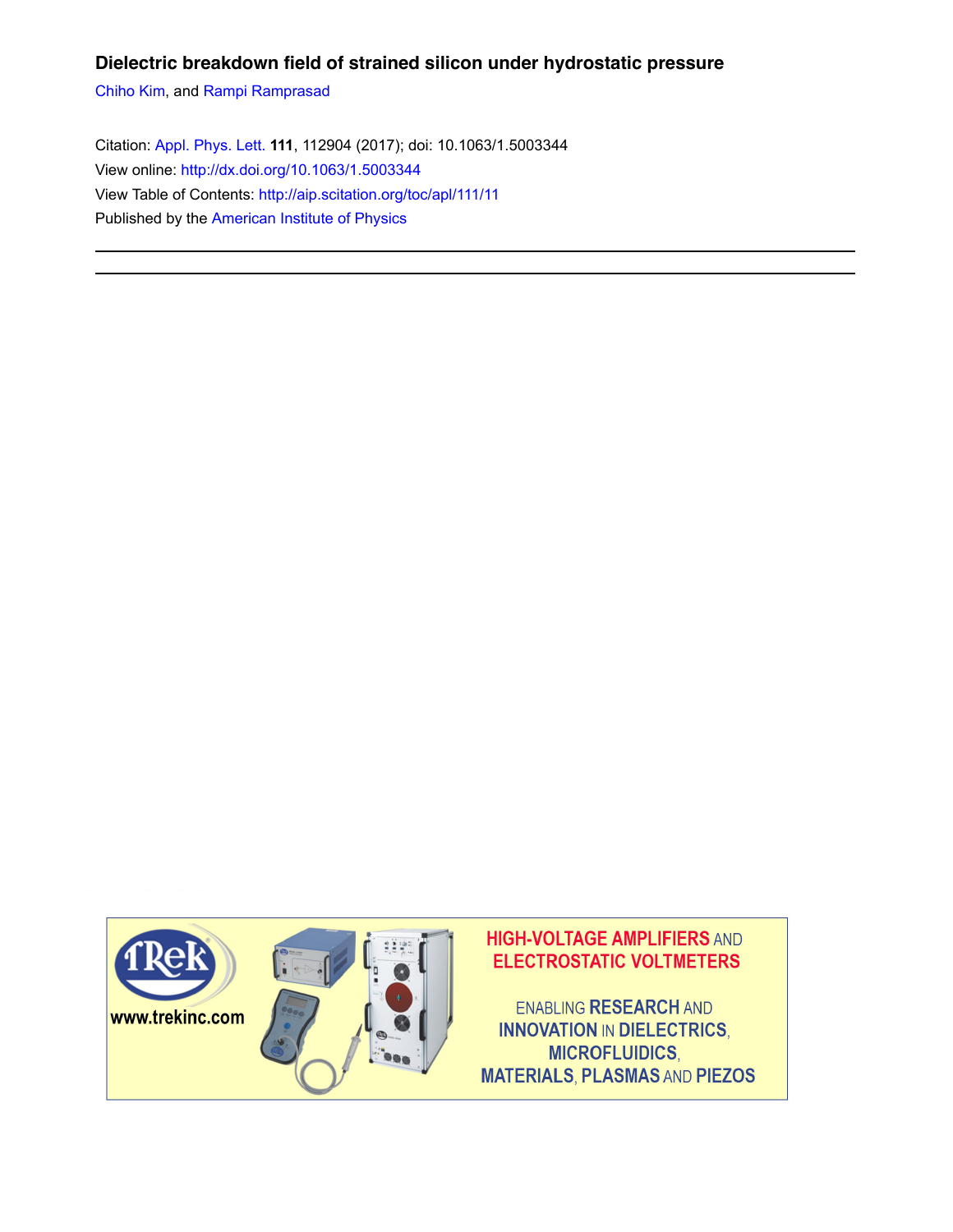## **Dielectric breakdown field of strained silicon under hydrostatic pressure**

Chiho Kim, and Rampi Ramprasad

Citation: Appl. Phys. Lett. **111**, 112904 (2017); doi: 10.1063/1.5003344 View online: http://dx.doi.org/10.1063/1.5003344 View Table of Contents: http://aip.scitation.org/toc/apl/111/11 Published by the American Institute of Physics

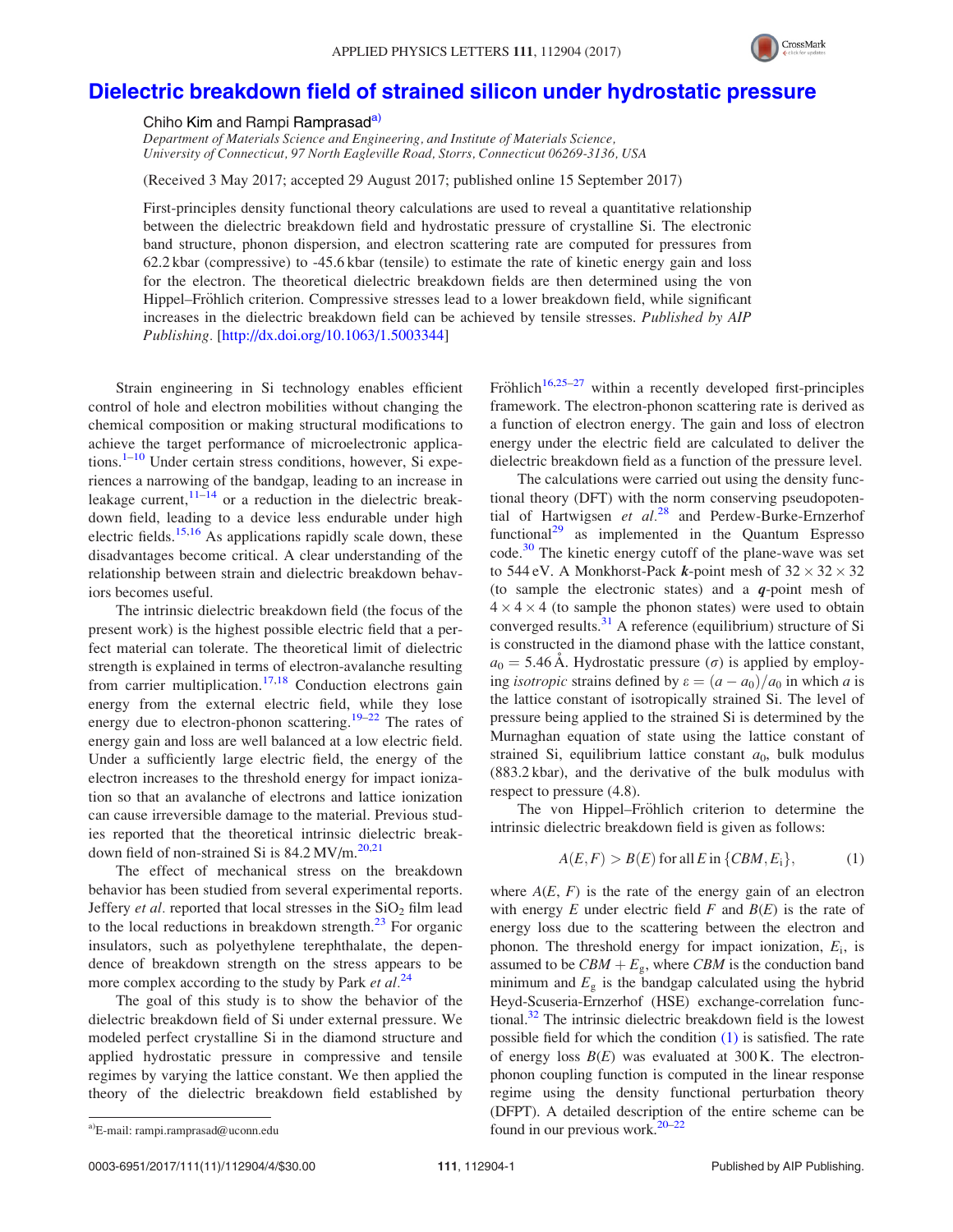

## Dielectric breakdown field of strained silicon under hydrostatic pressure

Chiho Kim and Rampi Ramprasad<sup>a)</sup>

Department of Materials Science and Engineering, and Institute of Materials Science, University of Connecticut, 97 North Eagleville Road, Storrs, Connecticut 06269-3136, USA

(Received 3 May 2017; accepted 29 August 2017; published online 15 September 2017)

First-principles density functional theory calculations are used to reveal a quantitative relationship between the dielectric breakdown field and hydrostatic pressure of crystalline Si. The electronic band structure, phonon dispersion, and electron scattering rate are computed for pressures from 62.2 kbar (compressive) to -45.6 kbar (tensile) to estimate the rate of kinetic energy gain and loss for the electron. The theoretical dielectric breakdown fields are then determined using the von Hippel–Fröhlich criterion. Compressive stresses lead to a lower breakdown field, while significant increases in the dielectric breakdown field can be achieved by tensile stresses. Published by AIP Publishing. [http://dx.doi.org/10.1063/1.5003344]

Strain engineering in Si technology enables efficient control of hole and electron mobilities without changing the chemical composition or making structural modifications to achieve the target performance of microelectronic applications. $1-10$  Under certain stress conditions, however, Si experiences a narrowing of the bandgap, leading to an increase in leakage current,  $11-\frac{14}{9}$  or a reduction in the dielectric breakdown field, leading to a device less endurable under high electric fields.<sup>15,16</sup> As applications rapidly scale down, these disadvantages become critical. A clear understanding of the relationship between strain and dielectric breakdown behaviors becomes useful.

The intrinsic dielectric breakdown field (the focus of the present work) is the highest possible electric field that a perfect material can tolerate. The theoretical limit of dielectric strength is explained in terms of electron-avalanche resulting from carrier multiplication.<sup>17,18</sup> Conduction electrons gain energy from the external electric field, while they lose energy due to electron-phonon scattering.<sup>19–22</sup> The rates of energy gain and loss are well balanced at a low electric field. Under a sufficiently large electric field, the energy of the electron increases to the threshold energy for impact ionization so that an avalanche of electrons and lattice ionization can cause irreversible damage to the material. Previous studies reported that the theoretical intrinsic dielectric breakdown field of non-strained Si is  $84.2 \,\mathrm{MV/m}$ .<sup>20,21</sup>

The effect of mechanical stress on the breakdown behavior has been studied from several experimental reports. Jeffery *et al.* reported that local stresses in the  $SiO<sub>2</sub>$  film lead to the local reductions in breakdown strength. $^{23}$  For organic insulators, such as polyethylene terephthalate, the dependence of breakdown strength on the stress appears to be more complex according to the study by Park *et al.*<sup>24</sup>

The goal of this study is to show the behavior of the dielectric breakdown field of Si under external pressure. We modeled perfect crystalline Si in the diamond structure and applied hydrostatic pressure in compressive and tensile regimes by varying the lattice constant. We then applied the theory of the dielectric breakdown field established by Fröhlich<sup>16,25–27</sup> within a recently developed first-principles framework. The electron-phonon scattering rate is derived as a function of electron energy. The gain and loss of electron energy under the electric field are calculated to deliver the dielectric breakdown field as a function of the pressure level.

The calculations were carried out using the density functional theory (DFT) with the norm conserving pseudopotential of Hartwigsen et  $al.^{28}$  and Perdew-Burke-Ernzerhof functional<sup>29</sup> as implemented in the Quantum Espresso  $code.^30$  The kinetic energy cutoff of the plane-wave was set to 544 eV. A Monkhorst-Pack *k*-point mesh of  $32 \times 32 \times 32$ (to sample the electronic states) and a  $q$ -point mesh of  $4 \times 4 \times 4$  (to sample the phonon states) were used to obtain converged results. $31$  A reference (equilibrium) structure of Si is constructed in the diamond phase with the lattice constant,  $a_0 = 5.46$  Å. Hydrostatic pressure ( $\sigma$ ) is applied by employing *isotropic* strains defined by  $\varepsilon = (a - a_0)/a_0$  in which a is the lattice constant of isotropically strained Si. The level of pressure being applied to the strained Si is determined by the Murnaghan equation of state using the lattice constant of strained Si, equilibrium lattice constant  $a_0$ , bulk modulus (883.2 kbar), and the derivative of the bulk modulus with respect to pressure (4.8).

The von Hippel–Fröhlich criterion to determine the intrinsic dielectric breakdown field is given as follows:

$$
A(E, F) > B(E) \text{ for all } E \text{ in } \{CBM, E_i\},\tag{1}
$$

where  $A(E, F)$  is the rate of the energy gain of an electron with energy  $E$  under electric field  $F$  and  $B(E)$  is the rate of energy loss due to the scattering between the electron and phonon. The threshold energy for impact ionization,  $E_i$ , is assumed to be  $CBM + E<sub>g</sub>$ , where CBM is the conduction band minimum and  $E<sub>g</sub>$  is the bandgap calculated using the hybrid Heyd-Scuseria-Ernzerhof (HSE) exchange-correlation functional.32 The intrinsic dielectric breakdown field is the lowest possible field for which the condition (1) is satisfied. The rate of energy loss  $B(E)$  was evaluated at 300 K. The electronphonon coupling function is computed in the linear response regime using the density functional perturbation theory (DFPT). A detailed description of the entire scheme can be <sup>a)</sup>E-mail: rampi.ramprasad@uconn.edu found in our previous work.<sup>20–22</sup>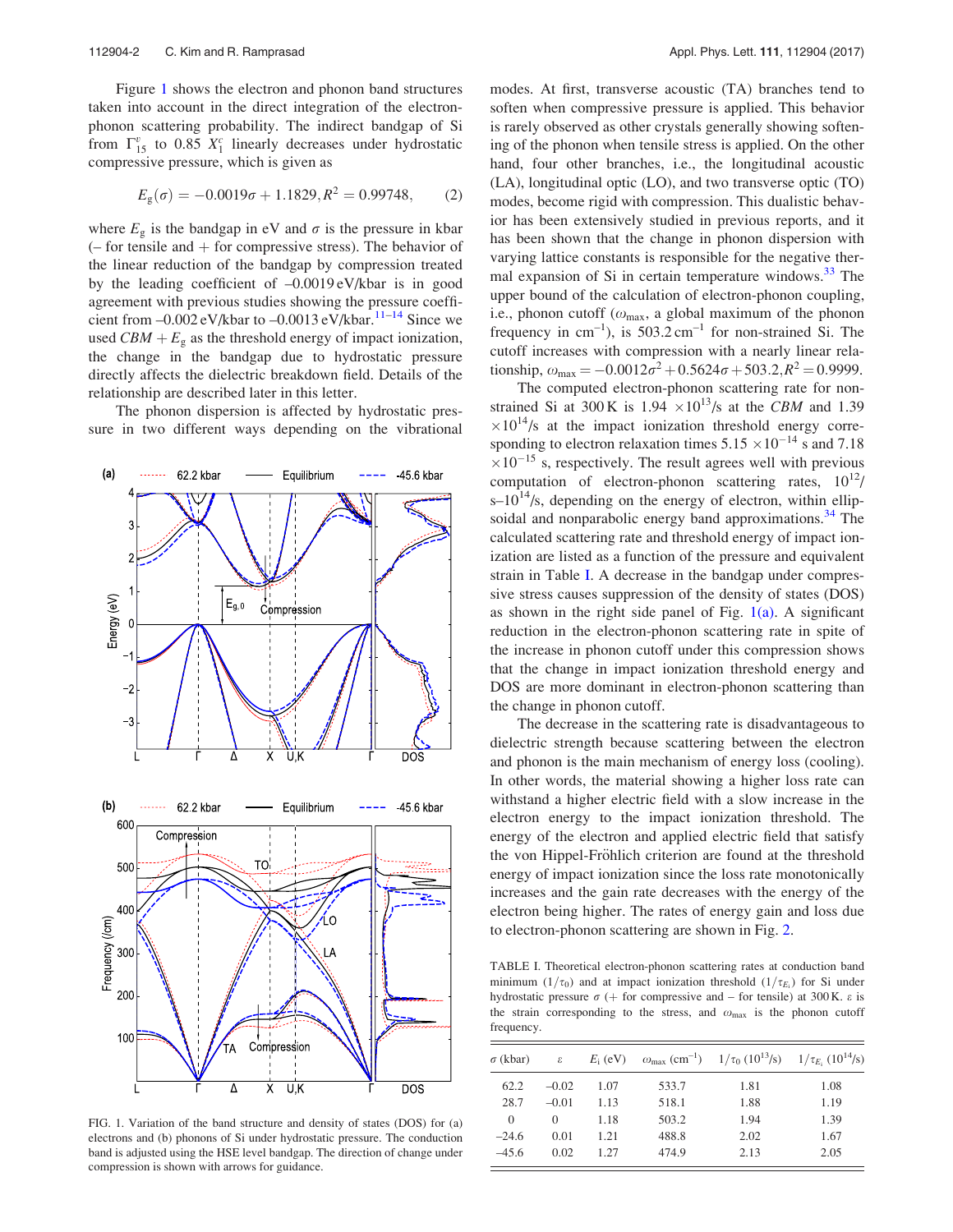Figure 1 shows the electron and phonon band structures taken into account in the direct integration of the electronphonon scattering probability. The indirect bandgap of Si from  $\Gamma^{v}_{15}$  to 0.85  $X_1^c$  linearly decreases under hydrostatic compressive pressure, which is given as

$$
Eg(\sigma) = -0.0019\sigma + 1.1829, R2 = 0.99748,
$$
 (2)

where  $E_{\varphi}$  is the bandgap in eV and  $\sigma$  is the pressure in kbar  $(-$  for tensile and  $+$  for compressive stress). The behavior of the linear reduction of the bandgap by compression treated by the leading coefficient of –0.0019 eV/kbar is in good agreement with previous studies showing the pressure coefficient from  $-0.002$  eV/kbar to  $-0.0013$  eV/kbar.<sup>11–14</sup> Since we used  $CBM + E<sub>g</sub>$  as the threshold energy of impact ionization, the change in the bandgap due to hydrostatic pressure directly affects the dielectric breakdown field. Details of the relationship are described later in this letter.

The phonon dispersion is affected by hydrostatic pressure in two different ways depending on the vibrational



FIG. 1. Variation of the band structure and density of states (DOS) for (a) electrons and (b) phonons of Si under hydrostatic pressure. The conduction band is adjusted using the HSE level bandgap. The direction of change under compression is shown with arrows for guidance.

modes. At first, transverse acoustic (TA) branches tend to soften when compressive pressure is applied. This behavior is rarely observed as other crystals generally showing softening of the phonon when tensile stress is applied. On the other hand, four other branches, i.e., the longitudinal acoustic (LA), longitudinal optic (LO), and two transverse optic (TO) modes, become rigid with compression. This dualistic behavior has been extensively studied in previous reports, and it has been shown that the change in phonon dispersion with varying lattice constants is responsible for the negative thermal expansion of Si in certain temperature windows.<sup>33</sup> The upper bound of the calculation of electron-phonon coupling, i.e., phonon cutoff ( $\omega_{\text{max}}$ , a global maximum of the phonon frequency in  $cm^{-1}$ ), is 503.2 cm<sup>-1</sup> for non-strained Si. The cutoff increases with compression with a nearly linear relationship,  $\omega_{\text{max}} = -0.0012\sigma^2 + 0.5624\sigma + 503.2$ ;  $R^2 = 0.9999$ .

The computed electron-phonon scattering rate for nonstrained Si at 300 K is  $1.94 \times 10^{13}$ /s at the CBM and 1.39  $\times 10^{14}$ /s at the impact ionization threshold energy corresponding to electron relaxation times  $5.15 \times 10^{-14}$  s and 7.18  $\times 10^{-15}$  s, respectively. The result agrees well with previous computation of electron-phonon scattering rates,  $10^{12}$ /  $s-10^{14}/s$ , depending on the energy of electron, within ellipsoidal and nonparabolic energy band approximations.<sup>34</sup> The calculated scattering rate and threshold energy of impact ionization are listed as a function of the pressure and equivalent strain in Table I. A decrease in the bandgap under compressive stress causes suppression of the density of states (DOS) as shown in the right side panel of Fig.  $1(a)$ . A significant reduction in the electron-phonon scattering rate in spite of the increase in phonon cutoff under this compression shows that the change in impact ionization threshold energy and DOS are more dominant in electron-phonon scattering than the change in phonon cutoff.

The decrease in the scattering rate is disadvantageous to dielectric strength because scattering between the electron and phonon is the main mechanism of energy loss (cooling). In other words, the material showing a higher loss rate can withstand a higher electric field with a slow increase in the electron energy to the impact ionization threshold. The energy of the electron and applied electric field that satisfy the von Hippel-Fröhlich criterion are found at the threshold energy of impact ionization since the loss rate monotonically increases and the gain rate decreases with the energy of the electron being higher. The rates of energy gain and loss due to electron-phonon scattering are shown in Fig. 2.

TABLE I. Theoretical electron-phonon scattering rates at conduction band minimum (1/ $\tau_0$ ) and at impact ionization threshold (1/ $\tau_{E_i}$ ) for Si under hydrostatic pressure  $\sigma$  (+ for compressive and – for tensile) at 300 K.  $\varepsilon$  is the strain corresponding to the stress, and  $\omega_{\text{max}}$  is the phonon cutoff frequency.

| $\sigma$ (kbar) | ε        | $E_i$ (eV) |       | $\omega_{\text{max}}$ (cm <sup>-1</sup> ) $1/\tau_0$ (10 <sup>13</sup> /s) $1/\tau_{E_i}$ (10 <sup>14</sup> /s) |      |
|-----------------|----------|------------|-------|-----------------------------------------------------------------------------------------------------------------|------|
| 62.2            | $-0.02$  | 1.07       | 533.7 | 1.81                                                                                                            | 1.08 |
| 28.7            | $-0.01$  | 1.13       | 518.1 | 1.88                                                                                                            | 1.19 |
| 0               | $\theta$ | 1.18       | 503.2 | 1.94                                                                                                            | 1.39 |
| $-24.6$         | 0.01     | 1.21       | 488.8 | 2.02                                                                                                            | 1.67 |
| $-45.6$         | 0.02     | 1.27       | 474.9 | 2.13                                                                                                            | 2.05 |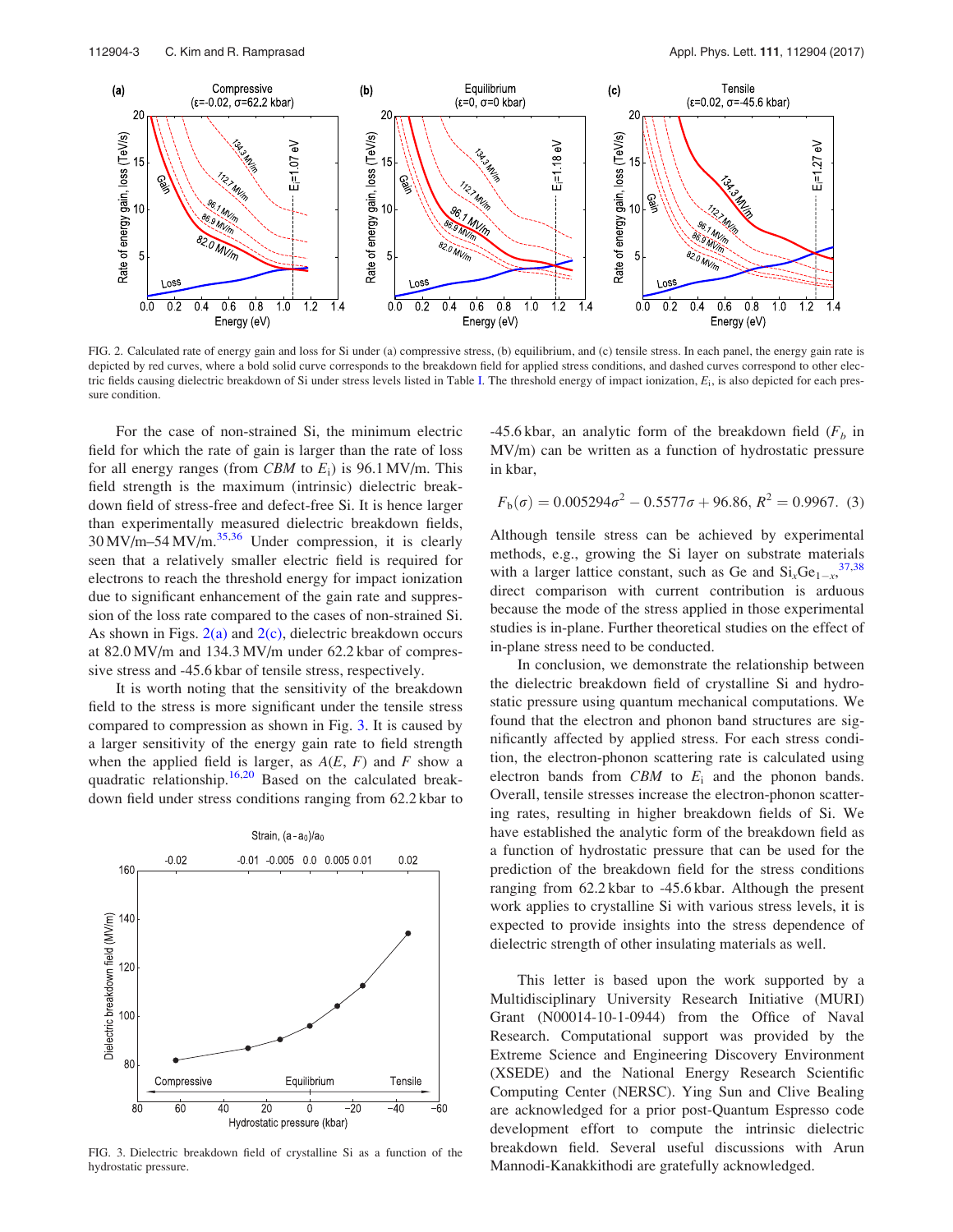

FIG. 2. Calculated rate of energy gain and loss for Si under (a) compressive stress, (b) equilibrium, and (c) tensile stress. In each panel, the energy gain rate is depicted by red curves, where a bold solid curve corresponds to the breakdown field for applied stress conditions, and dashed curves correspond to other electric fields causing dielectric breakdown of Si under stress levels listed in Table I. The threshold energy of impact ionization,  $E_i$ , is also depicted for each pressure condition.

For the case of non-strained Si, the minimum electric field for which the rate of gain is larger than the rate of loss for all energy ranges (from CBM to  $E_i$ ) is 96.1 MV/m. This field strength is the maximum (intrinsic) dielectric breakdown field of stress-free and defect-free Si. It is hence larger than experimentally measured dielectric breakdown fields,  $30 \,\mathrm{MV/m}$ –54 MV/m.<sup>35,36</sup> Under compression, it is clearly seen that a relatively smaller electric field is required for electrons to reach the threshold energy for impact ionization due to significant enhancement of the gain rate and suppression of the loss rate compared to the cases of non-strained Si. As shown in Figs.  $2(a)$  and  $2(c)$ , dielectric breakdown occurs at 82.0 MV/m and 134.3 MV/m under 62.2 kbar of compressive stress and -45.6 kbar of tensile stress, respectively.

It is worth noting that the sensitivity of the breakdown field to the stress is more significant under the tensile stress compared to compression as shown in Fig. 3. It is caused by a larger sensitivity of the energy gain rate to field strength when the applied field is larger, as  $A(E, F)$  and F show a quadratic relationship.16,20 Based on the calculated breakdown field under stress conditions ranging from 62.2 kbar to



FIG. 3. Dielectric breakdown field of crystalline Si as a function of the hydrostatic pressure.

-45.6 kbar, an analytic form of the breakdown field  $(F_b)$  in MV/m) can be written as a function of hydrostatic pressure in kbar,

$$
F_{\rm b}(\sigma) = 0.005294\sigma^2 - 0.5577\sigma + 96.86, R^2 = 0.9967.
$$
 (3)

Although tensile stress can be achieved by experimental methods, e.g., growing the Si layer on substrate materials with a larger lattice constant, such as Ge and  $Si_xGe_{1-x}$ , 37,38 direct comparison with current contribution is arduous because the mode of the stress applied in those experimental studies is in-plane. Further theoretical studies on the effect of in-plane stress need to be conducted.

In conclusion, we demonstrate the relationship between the dielectric breakdown field of crystalline Si and hydrostatic pressure using quantum mechanical computations. We found that the electron and phonon band structures are significantly affected by applied stress. For each stress condition, the electron-phonon scattering rate is calculated using electron bands from  $CBM$  to  $E_i$  and the phonon bands. Overall, tensile stresses increase the electron-phonon scattering rates, resulting in higher breakdown fields of Si. We have established the analytic form of the breakdown field as a function of hydrostatic pressure that can be used for the prediction of the breakdown field for the stress conditions ranging from 62.2 kbar to -45.6 kbar. Although the present work applies to crystalline Si with various stress levels, it is expected to provide insights into the stress dependence of dielectric strength of other insulating materials as well.

This letter is based upon the work supported by a Multidisciplinary University Research Initiative (MURI) Grant (N00014-10-1-0944) from the Office of Naval Research. Computational support was provided by the Extreme Science and Engineering Discovery Environment (XSEDE) and the National Energy Research Scientific Computing Center (NERSC). Ying Sun and Clive Bealing are acknowledged for a prior post-Quantum Espresso code development effort to compute the intrinsic dielectric breakdown field. Several useful discussions with Arun Mannodi-Kanakkithodi are gratefully acknowledged.